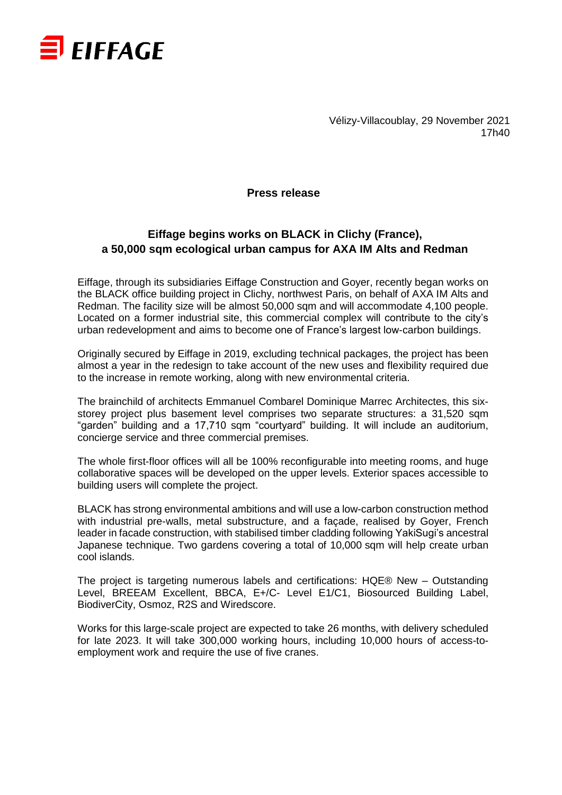

Vélizy-Villacoublay, 29 November 2021 17h40

**Press release**

## **Eiffage begins works on BLACK in Clichy (France), a 50,000 sqm ecological urban campus for AXA IM Alts and Redman**

Eiffage, through its subsidiaries Eiffage Construction and Goyer, recently began works on the BLACK office building project in Clichy, northwest Paris, on behalf of AXA IM Alts and Redman. The facility size will be almost 50,000 sqm and will accommodate 4,100 people. Located on a former industrial site, this commercial complex will contribute to the city's urban redevelopment and aims to become one of France's largest low-carbon buildings.

Originally secured by Eiffage in 2019, excluding technical packages, the project has been almost a year in the redesign to take account of the new uses and flexibility required due to the increase in remote working, along with new environmental criteria.

The brainchild of architects Emmanuel Combarel Dominique Marrec Architectes, this sixstorey project plus basement level comprises two separate structures: a 31,520 sqm "garden" building and a 17,710 sqm "courtyard" building. It will include an auditorium, concierge service and three commercial premises.

The whole first-floor offices will all be 100% reconfigurable into meeting rooms, and huge collaborative spaces will be developed on the upper levels. Exterior spaces accessible to building users will complete the project.

BLACK has strong environmental ambitions and will use a low-carbon construction method with industrial pre-walls, metal substructure, and a façade, realised by Goyer, French leader in facade construction, with stabilised timber cladding following YakiSugi's ancestral Japanese technique. Two gardens covering a total of 10,000 sqm will help create urban cool islands.

The project is targeting numerous labels and certifications: HQE® New – Outstanding Level, BREEAM Excellent, BBCA, E+/C- Level E1/C1, Biosourced Building Label, BiodiverCity, Osmoz, R2S and Wiredscore.

Works for this large-scale project are expected to take 26 months, with delivery scheduled for late 2023. It will take 300,000 working hours, including 10,000 hours of access-toemployment work and require the use of five cranes.